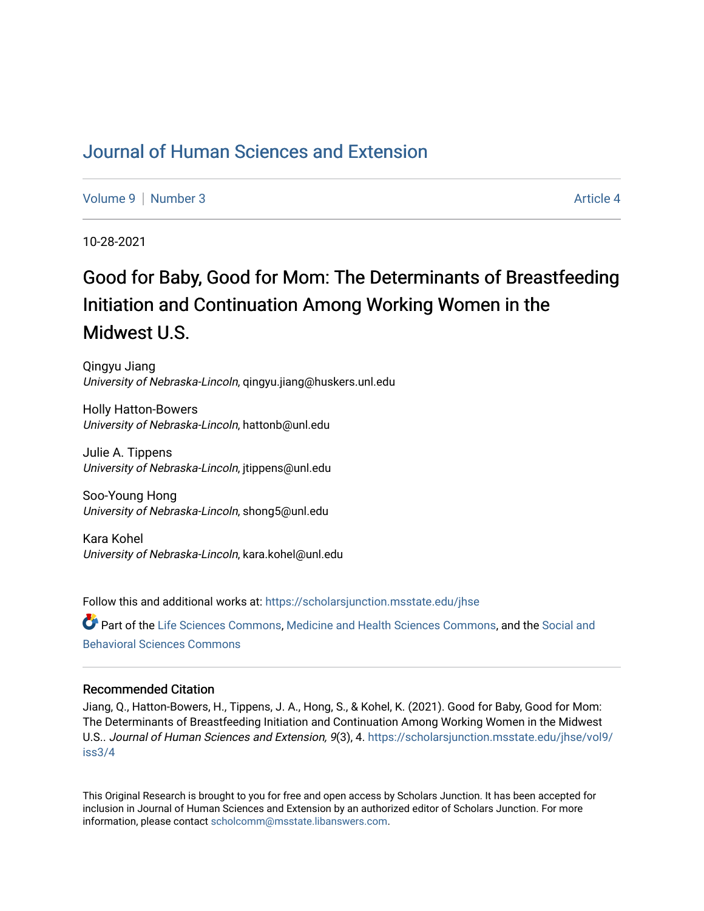# [Journal of Human Sciences and Extension](https://scholarsjunction.msstate.edu/jhse)

[Volume 9](https://scholarsjunction.msstate.edu/jhse/vol9) | [Number 3](https://scholarsjunction.msstate.edu/jhse/vol9/iss3) Article 4

10-28-2021

# Good for Baby, Good for Mom: The Determinants of Breastfeeding Initiation and Continuation Among Working Women in the Midwest U.S.

Qingyu Jiang University of Nebraska-Lincoln, qingyu.jiang@huskers.unl.edu

Holly Hatton-Bowers University of Nebraska-Lincoln, hattonb@unl.edu

Julie A. Tippens University of Nebraska-Lincoln, jtippens@unl.edu

Soo-Young Hong University of Nebraska-Lincoln, shong5@unl.edu

Kara Kohel University of Nebraska-Lincoln, kara.kohel@unl.edu

Follow this and additional works at: [https://scholarsjunction.msstate.edu/jhse](https://scholarsjunction.msstate.edu/jhse?utm_source=scholarsjunction.msstate.edu%2Fjhse%2Fvol9%2Fiss3%2F4&utm_medium=PDF&utm_campaign=PDFCoverPages)

Part of the [Life Sciences Commons,](http://network.bepress.com/hgg/discipline/1016?utm_source=scholarsjunction.msstate.edu%2Fjhse%2Fvol9%2Fiss3%2F4&utm_medium=PDF&utm_campaign=PDFCoverPages) [Medicine and Health Sciences Commons,](http://network.bepress.com/hgg/discipline/648?utm_source=scholarsjunction.msstate.edu%2Fjhse%2Fvol9%2Fiss3%2F4&utm_medium=PDF&utm_campaign=PDFCoverPages) and the [Social and](http://network.bepress.com/hgg/discipline/316?utm_source=scholarsjunction.msstate.edu%2Fjhse%2Fvol9%2Fiss3%2F4&utm_medium=PDF&utm_campaign=PDFCoverPages)  [Behavioral Sciences Commons](http://network.bepress.com/hgg/discipline/316?utm_source=scholarsjunction.msstate.edu%2Fjhse%2Fvol9%2Fiss3%2F4&utm_medium=PDF&utm_campaign=PDFCoverPages) 

#### Recommended Citation

Jiang, Q., Hatton-Bowers, H., Tippens, J. A., Hong, S., & Kohel, K. (2021). Good for Baby, Good for Mom: The Determinants of Breastfeeding Initiation and Continuation Among Working Women in the Midwest U.S.. Journal of Human Sciences and Extension, 9(3), 4. [https://scholarsjunction.msstate.edu/jhse/vol9/](https://scholarsjunction.msstate.edu/jhse/vol9/iss3/4?utm_source=scholarsjunction.msstate.edu%2Fjhse%2Fvol9%2Fiss3%2F4&utm_medium=PDF&utm_campaign=PDFCoverPages) [iss3/4](https://scholarsjunction.msstate.edu/jhse/vol9/iss3/4?utm_source=scholarsjunction.msstate.edu%2Fjhse%2Fvol9%2Fiss3%2F4&utm_medium=PDF&utm_campaign=PDFCoverPages)

This Original Research is brought to you for free and open access by Scholars Junction. It has been accepted for inclusion in Journal of Human Sciences and Extension by an authorized editor of Scholars Junction. For more information, please contact [scholcomm@msstate.libanswers.com](mailto:scholcomm@msstate.libanswers.com).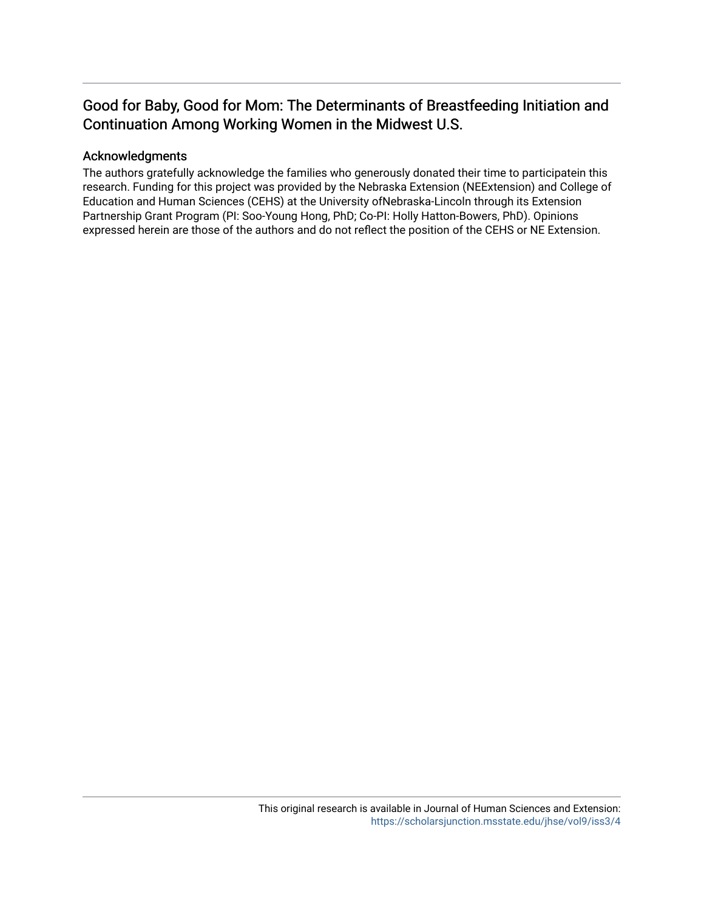# Good for Baby, Good for Mom: The Determinants of Breastfeeding Initiation and Continuation Among Working Women in the Midwest U.S.

#### Acknowledgments

The authors gratefully acknowledge the families who generously donated their time to participatein this research. Funding for this project was provided by the Nebraska Extension (NEExtension) and College of Education and Human Sciences (CEHS) at the University ofNebraska-Lincoln through its Extension Partnership Grant Program (PI: Soo-Young Hong, PhD; Co-PI: Holly Hatton-Bowers, PhD). Opinions expressed herein are those of the authors and do not reflect the position of the CEHS or NE Extension.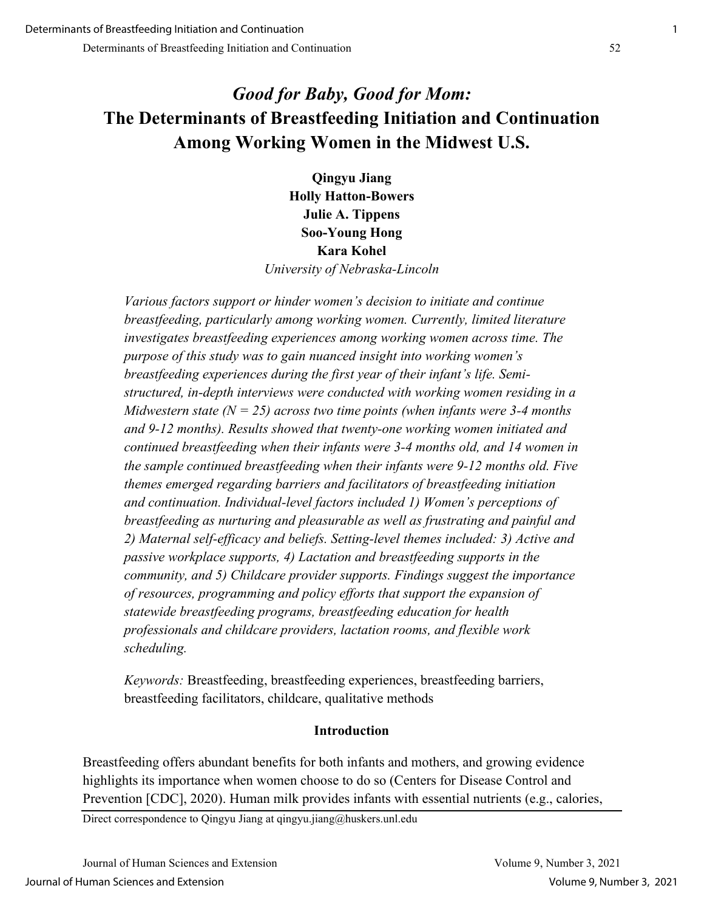# *Good for Baby, Good for Mom:* **The Determinants of Breastfeeding Initiation and Continuation Among Working Women in the Midwest U.S.**

**Qingyu Jiang Holly Hatton-Bowers Julie A. Tippens Soo-Young Hong Kara Kohel** *University of Nebraska-Lincoln*

*Various factors support or hinder women's decision to initiate and continue breastfeeding, particularly among working women. Currently, limited literature investigates breastfeeding experiences among working women across time. The purpose of this study was to gain nuanced insight into working women's breastfeeding experiences during the first year of their infant's life. Semistructured, in-depth interviews were conducted with working women residing in a Midwestern state (N = 25) across two time points (when infants were 3-4 months and 9-12 months). Results showed that twenty-one working women initiated and continued breastfeeding when their infants were 3-4 months old, and 14 women in the sample continued breastfeeding when their infants were 9-12 months old. Five themes emerged regarding barriers and facilitators of breastfeeding initiation and continuation. Individual-level factors included 1) Women's perceptions of breastfeeding as nurturing and pleasurable as well as frustrating and painful and 2) Maternal self-efficacy and beliefs. Setting-level themes included: 3) Active and passive workplace supports, 4) Lactation and breastfeeding supports in the community, and 5) Childcare provider supports. Findings suggest the importance of resources, programming and policy efforts that support the expansion of statewide breastfeeding programs, breastfeeding education for health professionals and childcare providers, lactation rooms, and flexible work scheduling.* 

*Keywords:* Breastfeeding, breastfeeding experiences, breastfeeding barriers, breastfeeding facilitators, childcare, qualitative methods

# **Introduction**

Breastfeeding offers abundant benefits for both infants and mothers, and growing evidence highlights its importance when women choose to do so (Centers for Disease Control and Prevention [CDC], 2020). Human milk provides infants with essential nutrients (e.g., calories,

Direct correspondence to Qingyu Jiang at qingyu.jiang@huskers.unl.edu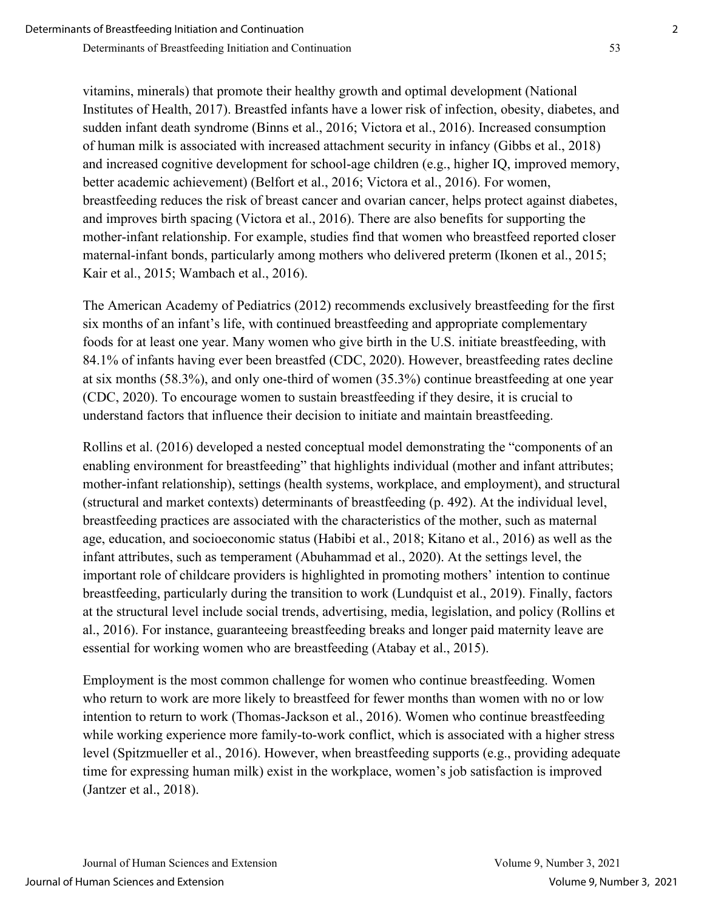vitamins, minerals) that promote their healthy growth and optimal development (National Institutes of Health, 2017). Breastfed infants have a lower risk of infection, obesity, diabetes, and sudden infant death syndrome (Binns et al., 2016; Victora et al., 2016). Increased consumption of human milk is associated with increased attachment security in infancy (Gibbs et al., 2018) and increased cognitive development for school-age children (e.g., higher IQ, improved memory, better academic achievement) (Belfort et al., 2016; Victora et al., 2016). For women, breastfeeding reduces the risk of breast cancer and ovarian cancer, helps protect against diabetes, and improves birth spacing (Victora et al., 2016). There are also benefits for supporting the mother-infant relationship. For example, studies find that women who breastfeed reported closer maternal-infant bonds, particularly among mothers who delivered preterm (Ikonen et al., 2015; Kair et al., 2015; Wambach et al., 2016).

The American Academy of Pediatrics (2012) recommends exclusively breastfeeding for the first six months of an infant's life, with continued breastfeeding and appropriate complementary foods for at least one year. Many women who give birth in the U.S. initiate breastfeeding, with 84.1% of infants having ever been breastfed (CDC, 2020). However, breastfeeding rates decline at six months (58.3%), and only one-third of women (35.3%) continue breastfeeding at one year (CDC, 2020). To encourage women to sustain breastfeeding if they desire, it is crucial to understand factors that influence their decision to initiate and maintain breastfeeding.

Rollins et al. (2016) developed a nested conceptual model demonstrating the "components of an enabling environment for breastfeeding" that highlights individual (mother and infant attributes; mother-infant relationship), settings (health systems, workplace, and employment), and structural (structural and market contexts) determinants of breastfeeding (p. 492). At the individual level, breastfeeding practices are associated with the characteristics of the mother, such as maternal age, education, and socioeconomic status (Habibi et al., 2018; Kitano et al., 2016) as well as the infant attributes, such as temperament (Abuhammad et al., 2020). At the settings level, the important role of childcare providers is highlighted in promoting mothers' intention to continue breastfeeding, particularly during the transition to work (Lundquist et al., 2019). Finally, factors at the structural level include social trends, advertising, media, legislation, and policy (Rollins et al., 2016). For instance, guaranteeing breastfeeding breaks and longer paid maternity leave are essential for working women who are breastfeeding (Atabay et al., 2015).

Employment is the most common challenge for women who continue breastfeeding. Women who return to work are more likely to breastfeed for fewer months than women with no or low intention to return to work (Thomas-Jackson et al., 2016). Women who continue breastfeeding while working experience more family-to-work conflict, which is associated with a higher stress level (Spitzmueller et al., 2016). However, when breastfeeding supports (e.g., providing adequate time for expressing human milk) exist in the workplace, women's job satisfaction is improved (Jantzer et al., 2018).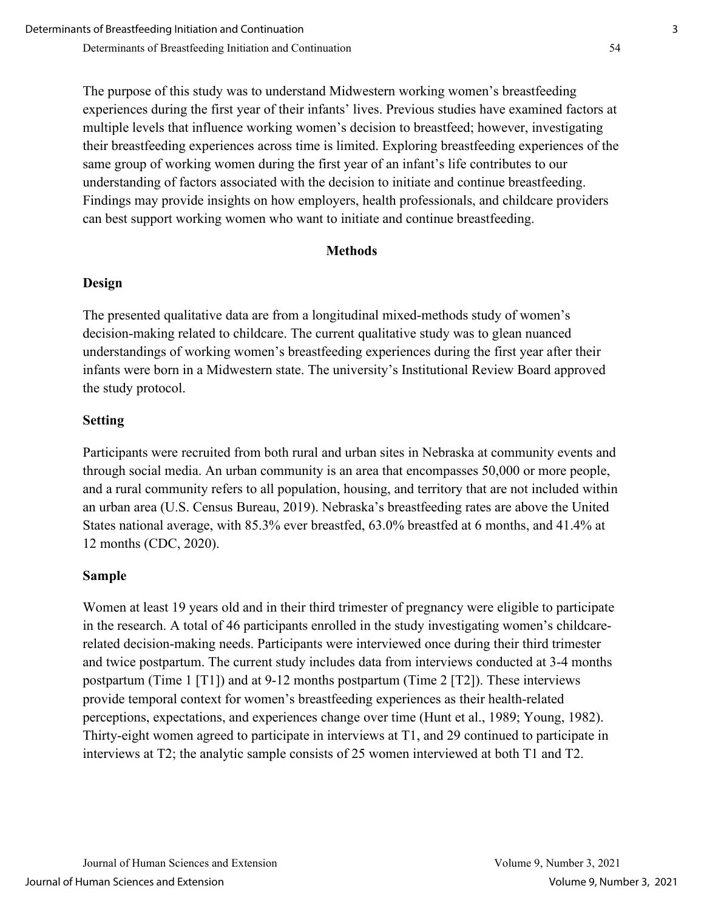The purpose of this study was to understand Midwestern working women's breastfeeding experiences during the first year of their infants' lives. Previous studies have examined factors at multiple levels that influence working women's decision to breastfeed; however, investigating their breastfeeding experiences across time is limited. Exploring breastfeeding experiences of the same group of working women during the first year of an infant's life contributes to our understanding of factors associated with the decision to initiate and continue breastfeeding. Findings may provide insights on how employers, health professionals, and childcare providers can best support working women who want to initiate and continue breastfeeding.

## **Methods**

## **Design**

The presented qualitative data are from a longitudinal mixed-methods study of women's decision-making related to childcare. The current qualitative study was to glean nuanced understandings of working women's breastfeeding experiences during the first year after their infants were born in a Midwestern state. The university's Institutional Review Board approved the study protocol.

## **Setting**

Participants were recruited from both rural and urban sites in Nebraska at community events and through social media. An urban community is an area that encompasses 50,000 or more people, and a rural community refers to all population, housing, and territory that are not included within an urban area (U.S. Census Bureau, 2019). Nebraska's breastfeeding rates are above the United States national average, with 85.3% ever breastfed, 63.0% breastfed at 6 months, and 41.4% at 12 months (CDC, 2020).

## **Sample**

Women at least 19 years old and in their third trimester of pregnancy were eligible to participate in the research. A total of 46 participants enrolled in the study investigating women's childcarerelated decision-making needs. Participants were interviewed once during their third trimester and twice postpartum. The current study includes data from interviews conducted at 3-4 months postpartum (Time 1 [T1]) and at 9-12 months postpartum (Time 2 [T2]). These interviews provide temporal context for women's breastfeeding experiences as their health-related perceptions, expectations, and experiences change over time (Hunt et al., 1989; Young, 1982). Thirty-eight women agreed to participate in interviews at T1, and 29 continued to participate in interviews at T2; the analytic sample consists of 25 women interviewed at both T1 and T2.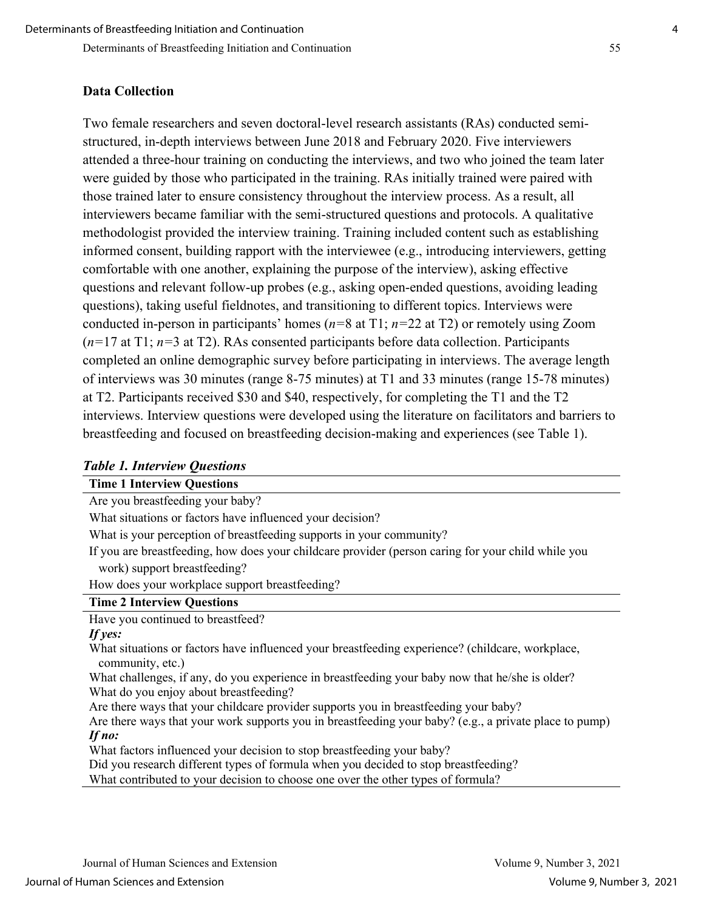#### **Data Collection**

Two female researchers and seven doctoral-level research assistants (RAs) conducted semistructured, in-depth interviews between June 2018 and February 2020. Five interviewers attended a three-hour training on conducting the interviews, and two who joined the team later were guided by those who participated in the training. RAs initially trained were paired with those trained later to ensure consistency throughout the interview process. As a result, all interviewers became familiar with the semi-structured questions and protocols. A qualitative methodologist provided the interview training. Training included content such as establishing informed consent, building rapport with the interviewee (e.g., introducing interviewers, getting comfortable with one another, explaining the purpose of the interview), asking effective questions and relevant follow-up probes (e.g., asking open-ended questions, avoiding leading questions), taking useful fieldnotes, and transitioning to different topics. Interviews were conducted in-person in participants' homes (*n=*8 at T1; *n=*22 at T2) or remotely using Zoom (*n=*17 at T1; *n=*3 at T2). RAs consented participants before data collection. Participants completed an online demographic survey before participating in interviews. The average length of interviews was 30 minutes (range 8-75 minutes) at T1 and 33 minutes (range 15-78 minutes) at T2. Participants received \$30 and \$40, respectively, for completing the T1 and the T2 interviews. Interview questions were developed using the literature on facilitators and barriers to breastfeeding and focused on breastfeeding decision-making and experiences (see Table 1).

#### *Table 1. Interview Questions*

|  | <b>Time 1 Interview Questions</b> |  |
|--|-----------------------------------|--|
|  |                                   |  |

Are you breastfeeding your baby?

What situations or factors have influenced your decision?

What is your perception of breastfeeding supports in your community?

If you are breastfeeding, how does your childcare provider (person caring for your child while you work) support breastfeeding?

How does your workplace support breastfeeding?

#### **Time 2 Interview Questions**

Have you continued to breastfeed?

#### *If yes:*

What situations or factors have influenced your breastfeeding experience? (childcare, workplace, community, etc.)

What challenges, if any, do you experience in breastfeeding your baby now that he/she is older? What do you enjoy about breastfeeding?

Are there ways that your childcare provider supports you in breastfeeding your baby?

Are there ways that your work supports you in breastfeeding your baby? (e.g., a private place to pump) *If no:*

What factors influenced your decision to stop breastfeeding your baby?

Did you research different types of formula when you decided to stop breastfeeding?

What contributed to your decision to choose one over the other types of formula?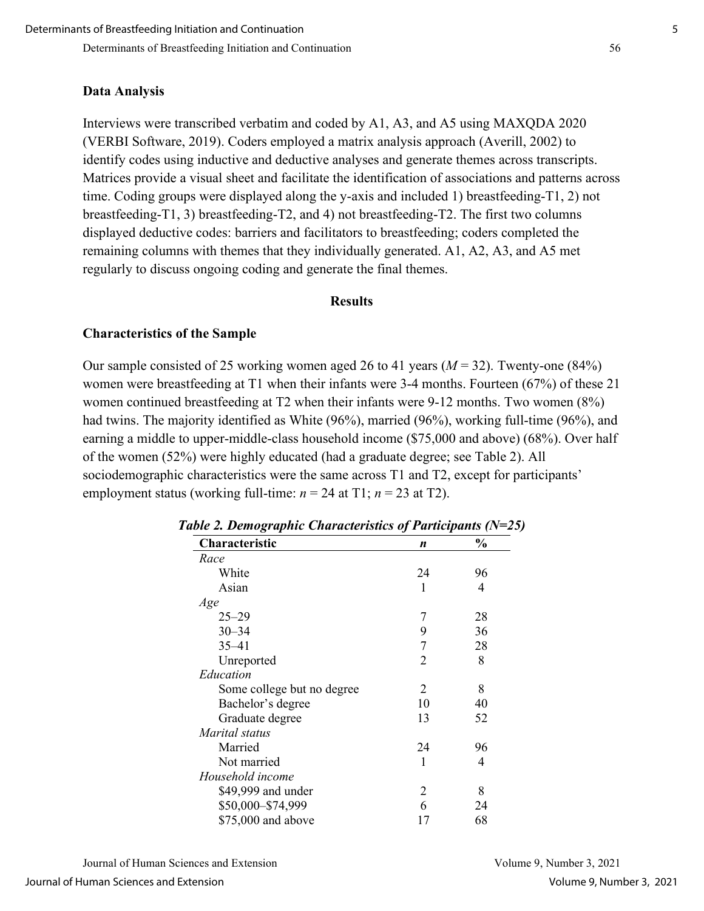#### **Data Analysis**

Interviews were transcribed verbatim and coded by A1, A3, and A5 using MAXQDA 2020 (VERBI Software, 2019). Coders employed a matrix analysis approach (Averill, 2002) to identify codes using inductive and deductive analyses and generate themes across transcripts. Matrices provide a visual sheet and facilitate the identification of associations and patterns across time. Coding groups were displayed along the y-axis and included 1) breastfeeding-T1, 2) not breastfeeding-T1, 3) breastfeeding-T2, and 4) not breastfeeding-T2. The first two columns displayed deductive codes: barriers and facilitators to breastfeeding; coders completed the remaining columns with themes that they individually generated. A1, A2, A3, and A5 met regularly to discuss ongoing coding and generate the final themes.

#### **Results**

## **Characteristics of the Sample**

Our sample consisted of 25 working women aged 26 to 41 years (*M* = 32). Twenty-one (84%) women were breastfeeding at T1 when their infants were 3-4 months. Fourteen (67%) of these 21 women continued breastfeeding at T2 when their infants were 9-12 months. Two women (8%) had twins. The majority identified as White (96%), married (96%), working full-time (96%), and earning a middle to upper-middle-class household income (\$75,000 and above) (68%). Over half of the women (52%) were highly educated (had a graduate degree; see Table 2). All sociodemographic characteristics were the same across T1 and T2, except for participants' employment status (working full-time:  $n = 24$  at T1;  $n = 23$  at T2).

| Characteristic             | ∽.,<br>.<br>n | $\frac{0}{0}$ |
|----------------------------|---------------|---------------|
| Race                       |               |               |
| White                      | 24            | 96            |
| Asian                      | 1             | 4             |
| Age                        |               |               |
| $25 - 29$                  | 7             | 28            |
| $30 - 34$                  | 9             | 36            |
| $35 - 41$                  | 7             | 28            |
| Unreported                 | 2             | 8             |
| Education                  |               |               |
| Some college but no degree | 2             | 8             |
| Bachelor's degree          | 10            | 40            |
| Graduate degree            | 13            | 52            |
| Marital status             |               |               |
| Married                    | 24            | 96            |
| Not married                | 1             | 4             |
| Household income           |               |               |
| \$49,999 and under         | 2             | 8             |
| \$50,000-\$74,999          | 6             | 24            |
| \$75,000 and above         | 17            | 68            |

*Table 2. Demographic Characteristics of Participants (N=25)*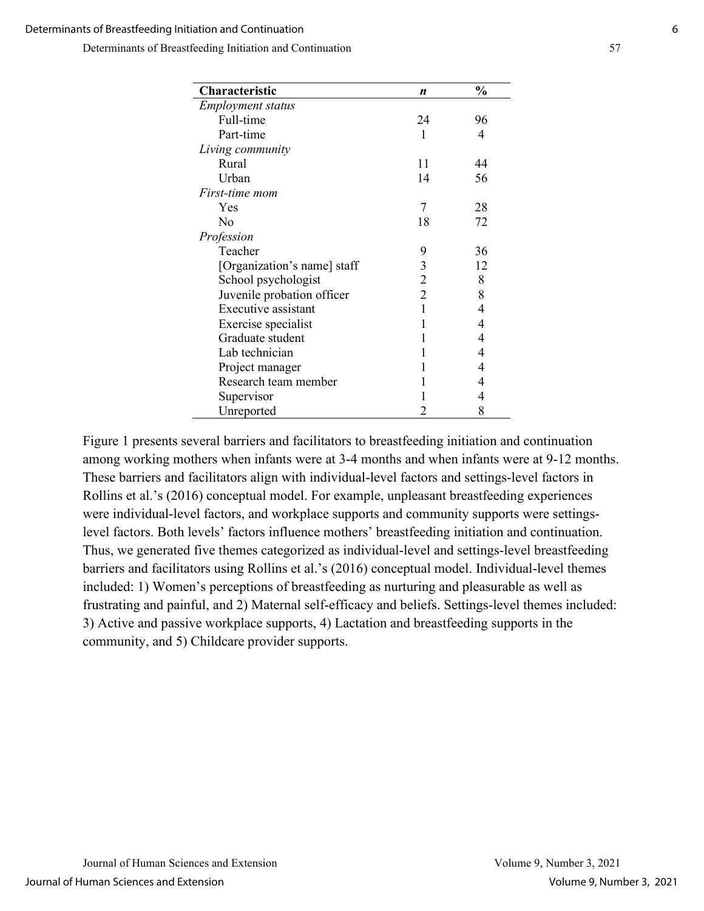| Characteristic              | $\boldsymbol{n}$ | $\frac{0}{0}$ |
|-----------------------------|------------------|---------------|
| <b>Employment status</b>    |                  |               |
| Full-time                   | 24               | 96            |
| Part-time                   | 1                | 4             |
| Living community            |                  |               |
| Rural                       | 11               | 44            |
| Urban                       | 14               | 56            |
| <i>First-time mom</i>       |                  |               |
| Yes                         | 7                | 28            |
| N <sub>0</sub>              | 18               | 72            |
| Profession                  |                  |               |
| Teacher                     | 9                | 36            |
| [Organization's name] staff | 3                | 12            |
| School psychologist         | 2                | 8             |
| Juvenile probation officer  | $\overline{2}$   | 8             |
| Executive assistant         | 1                | 4             |
| Exercise specialist         | 1                | 4             |
| Graduate student            | 1                | 4             |
| Lab technician              | 1                | 4             |
| Project manager             |                  | 4             |
| Research team member        |                  | 4             |
| Supervisor                  |                  | 4             |
| Unreported                  | 2                | 8             |

Figure 1 presents several barriers and facilitators to breastfeeding initiation and continuation among working mothers when infants were at 3-4 months and when infants were at 9-12 months. These barriers and facilitators align with individual-level factors and settings-level factors in Rollins et al.'s (2016) conceptual model. For example, unpleasant breastfeeding experiences were individual-level factors, and workplace supports and community supports were settingslevel factors. Both levels' factors influence mothers' breastfeeding initiation and continuation. Thus, we generated five themes categorized as individual-level and settings-level breastfeeding barriers and facilitators using Rollins et al.'s (2016) conceptual model. Individual-level themes included: 1) Women's perceptions of breastfeeding as nurturing and pleasurable as well as frustrating and painful, and 2) Maternal self-efficacy and beliefs. Settings-level themes included: 3) Active and passive workplace supports, 4) Lactation and breastfeeding supports in the community, and 5) Childcare provider supports.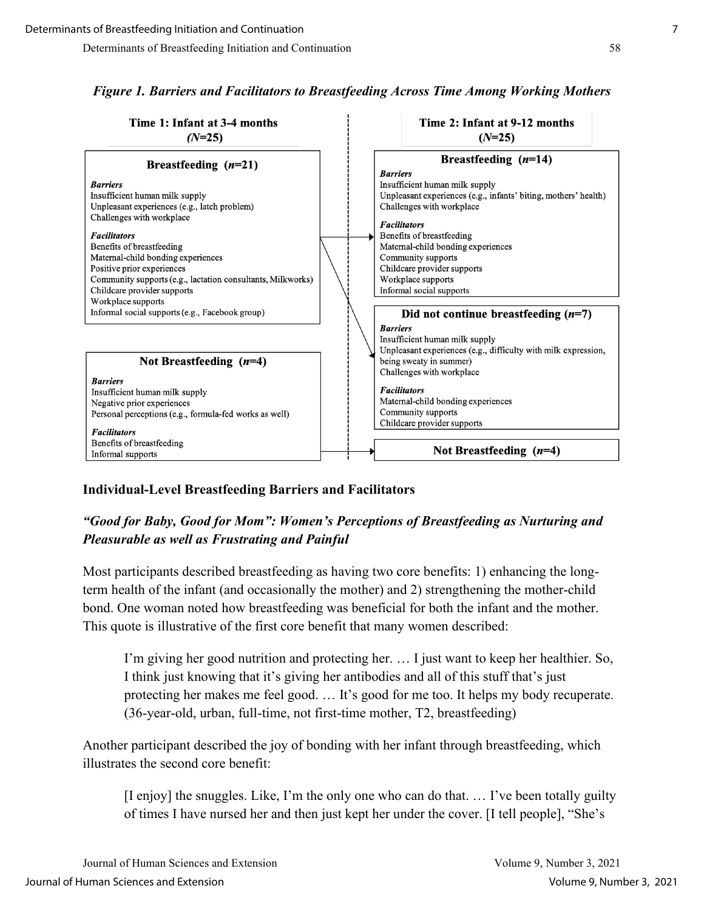

# *Figure 1. Barriers and Facilitators to Breastfeeding Across Time Among Working Mothers*

# **Individual-Level Breastfeeding Barriers and Facilitators**

# *"Good for Baby, Good for Mom": Women's Perceptions of Breastfeeding as Nurturing and Pleasurable as well as Frustrating and Painful*

Most participants described breastfeeding as having two core benefits: 1) enhancing the longterm health of the infant (and occasionally the mother) and 2) strengthening the mother-child bond. One woman noted how breastfeeding was beneficial for both the infant and the mother. This quote is illustrative of the first core benefit that many women described:

I'm giving her good nutrition and protecting her. … I just want to keep her healthier. So, I think just knowing that it's giving her antibodies and all of this stuff that's just protecting her makes me feel good. … It's good for me too. It helps my body recuperate. (36-year-old, urban, full-time, not first-time mother, T2, breastfeeding)

Another participant described the joy of bonding with her infant through breastfeeding, which illustrates the second core benefit:

[I enjoy] the snuggles. Like, I'm the only one who can do that. … I've been totally guilty of times I have nursed her and then just kept her under the cover. [I tell people], "She's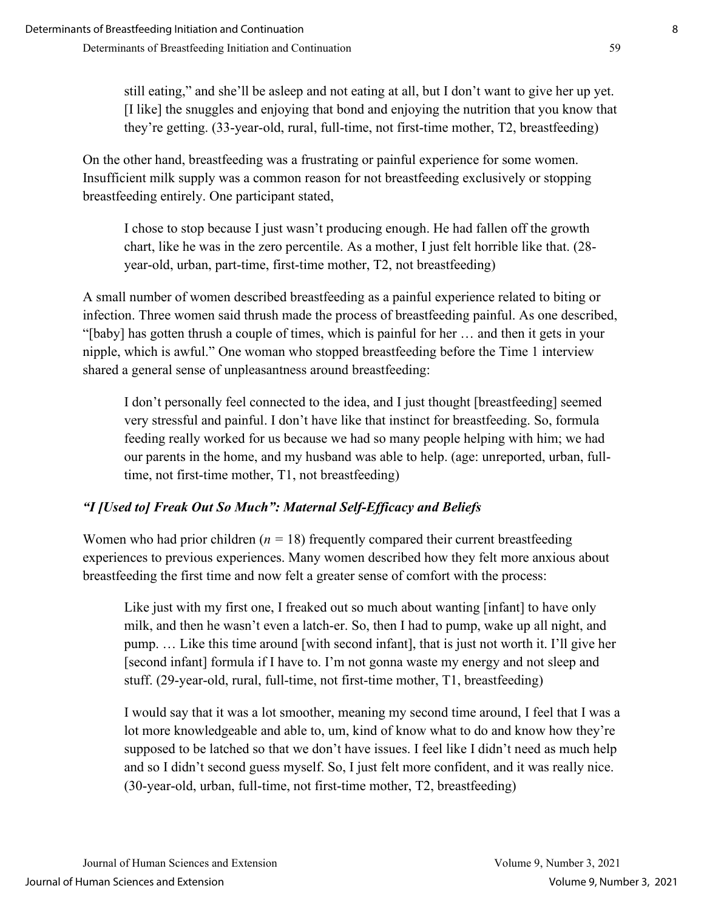still eating," and she'll be asleep and not eating at all, but I don't want to give her up yet. [I like] the snuggles and enjoying that bond and enjoying the nutrition that you know that they're getting. (33-year-old, rural, full-time, not first-time mother, T2, breastfeeding)

On the other hand, breastfeeding was a frustrating or painful experience for some women. Insufficient milk supply was a common reason for not breastfeeding exclusively or stopping breastfeeding entirely. One participant stated,

I chose to stop because I just wasn't producing enough. He had fallen off the growth chart, like he was in the zero percentile. As a mother, I just felt horrible like that. (28 year-old, urban, part-time, first-time mother, T2, not breastfeeding)

A small number of women described breastfeeding as a painful experience related to biting or infection. Three women said thrush made the process of breastfeeding painful. As one described, "[baby] has gotten thrush a couple of times, which is painful for her … and then it gets in your nipple, which is awful." One woman who stopped breastfeeding before the Time 1 interview shared a general sense of unpleasantness around breastfeeding:

I don't personally feel connected to the idea, and I just thought [breastfeeding] seemed very stressful and painful. I don't have like that instinct for breastfeeding. So, formula feeding really worked for us because we had so many people helping with him; we had our parents in the home, and my husband was able to help. (age: unreported, urban, fulltime, not first-time mother, T1, not breastfeeding)

# *"I [Used to] Freak Out So Much": Maternal Self-Efficacy and Beliefs*

Women who had prior children  $(n = 18)$  frequently compared their current breastfeeding experiences to previous experiences. Many women described how they felt more anxious about breastfeeding the first time and now felt a greater sense of comfort with the process:

Like just with my first one, I freaked out so much about wanting [infant] to have only milk, and then he wasn't even a latch-er. So, then I had to pump, wake up all night, and pump. … Like this time around [with second infant], that is just not worth it. I'll give her [second infant] formula if I have to. I'm not gonna waste my energy and not sleep and stuff. (29-year-old, rural, full-time, not first-time mother, T1, breastfeeding)

I would say that it was a lot smoother, meaning my second time around, I feel that I was a lot more knowledgeable and able to, um, kind of know what to do and know how they're supposed to be latched so that we don't have issues. I feel like I didn't need as much help and so I didn't second guess myself. So, I just felt more confident, and it was really nice. (30-year-old, urban, full-time, not first-time mother, T2, breastfeeding)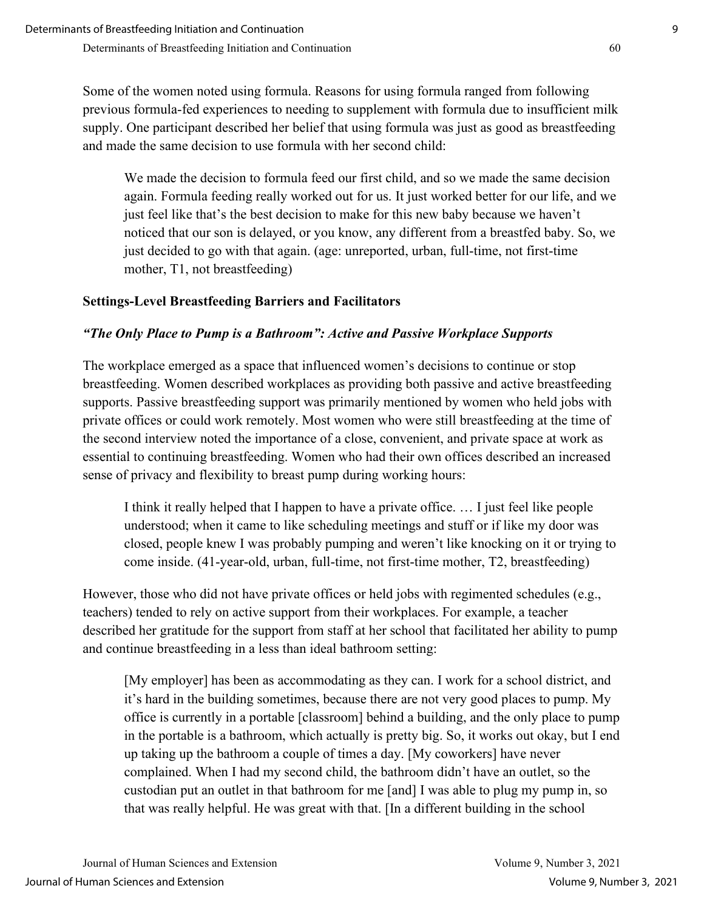Some of the women noted using formula. Reasons for using formula ranged from following previous formula-fed experiences to needing to supplement with formula due to insufficient milk supply. One participant described her belief that using formula was just as good as breastfeeding and made the same decision to use formula with her second child:

We made the decision to formula feed our first child, and so we made the same decision again. Formula feeding really worked out for us. It just worked better for our life, and we just feel like that's the best decision to make for this new baby because we haven't noticed that our son is delayed, or you know, any different from a breastfed baby. So, we just decided to go with that again. (age: unreported, urban, full-time, not first-time mother, T1, not breastfeeding)

# **Settings-Level Breastfeeding Barriers and Facilitators**

## *"The Only Place to Pump is a Bathroom": Active and Passive Workplace Supports*

The workplace emerged as a space that influenced women's decisions to continue or stop breastfeeding. Women described workplaces as providing both passive and active breastfeeding supports. Passive breastfeeding support was primarily mentioned by women who held jobs with private offices or could work remotely. Most women who were still breastfeeding at the time of the second interview noted the importance of a close, convenient, and private space at work as essential to continuing breastfeeding. Women who had their own offices described an increased sense of privacy and flexibility to breast pump during working hours:

I think it really helped that I happen to have a private office. … I just feel like people understood; when it came to like scheduling meetings and stuff or if like my door was closed, people knew I was probably pumping and weren't like knocking on it or trying to come inside. (41-year-old, urban, full-time, not first-time mother, T2, breastfeeding)

However, those who did not have private offices or held jobs with regimented schedules (e.g., teachers) tended to rely on active support from their workplaces. For example, a teacher described her gratitude for the support from staff at her school that facilitated her ability to pump and continue breastfeeding in a less than ideal bathroom setting:

[My employer] has been as accommodating as they can. I work for a school district, and it's hard in the building sometimes, because there are not very good places to pump. My office is currently in a portable [classroom] behind a building, and the only place to pump in the portable is a bathroom, which actually is pretty big. So, it works out okay, but I end up taking up the bathroom a couple of times a day. [My coworkers] have never complained. When I had my second child, the bathroom didn't have an outlet, so the custodian put an outlet in that bathroom for me [and] I was able to plug my pump in, so that was really helpful. He was great with that. [In a different building in the school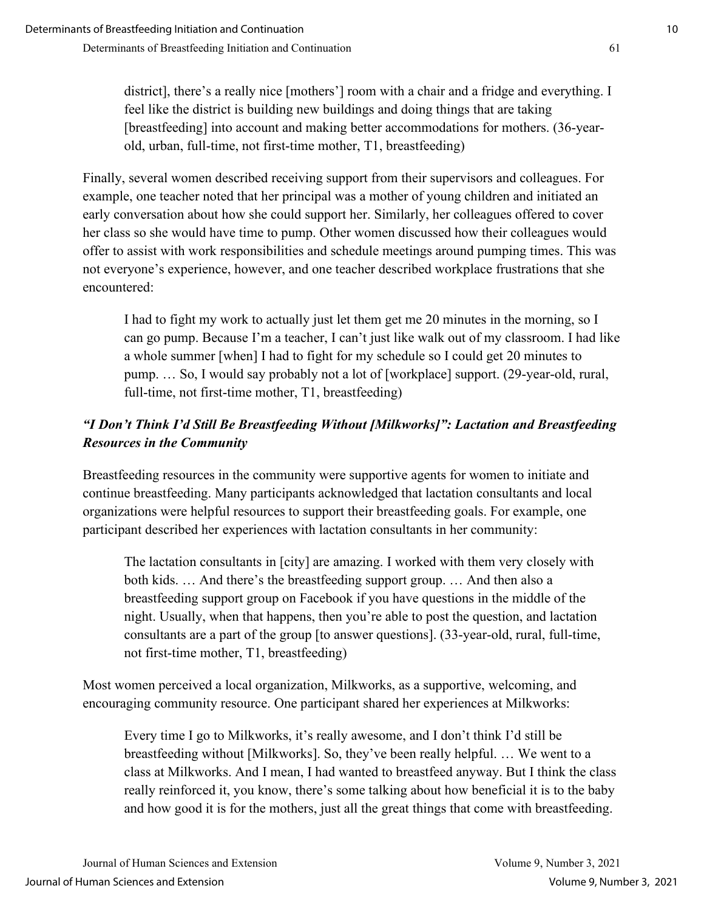district], there's a really nice [mothers'] room with a chair and a fridge and everything. I feel like the district is building new buildings and doing things that are taking [breastfeeding] into account and making better accommodations for mothers. (36-yearold, urban, full-time, not first-time mother, T1, breastfeeding)

Finally, several women described receiving support from their supervisors and colleagues. For example, one teacher noted that her principal was a mother of young children and initiated an early conversation about how she could support her. Similarly, her colleagues offered to cover her class so she would have time to pump. Other women discussed how their colleagues would offer to assist with work responsibilities and schedule meetings around pumping times. This was not everyone's experience, however, and one teacher described workplace frustrations that she encountered:

I had to fight my work to actually just let them get me 20 minutes in the morning, so I can go pump. Because I'm a teacher, I can't just like walk out of my classroom. I had like a whole summer [when] I had to fight for my schedule so I could get 20 minutes to pump. … So, I would say probably not a lot of [workplace] support. (29-year-old, rural, full-time, not first-time mother, T1, breastfeeding)

# *"I Don't Think I'd Still Be Breastfeeding Without [Milkworks]": Lactation and Breastfeeding Resources in the Community*

Breastfeeding resources in the community were supportive agents for women to initiate and continue breastfeeding. Many participants acknowledged that lactation consultants and local organizations were helpful resources to support their breastfeeding goals. For example, one participant described her experiences with lactation consultants in her community:

The lactation consultants in [city] are amazing. I worked with them very closely with both kids. … And there's the breastfeeding support group. … And then also a breastfeeding support group on Facebook if you have questions in the middle of the night. Usually, when that happens, then you're able to post the question, and lactation consultants are a part of the group [to answer questions]. (33-year-old, rural, full-time, not first-time mother, T1, breastfeeding)

Most women perceived a local organization, Milkworks, as a supportive, welcoming, and encouraging community resource. One participant shared her experiences at Milkworks:

Every time I go to Milkworks, it's really awesome, and I don't think I'd still be breastfeeding without [Milkworks]. So, they've been really helpful. … We went to a class at Milkworks. And I mean, I had wanted to breastfeed anyway. But I think the class really reinforced it, you know, there's some talking about how beneficial it is to the baby and how good it is for the mothers, just all the great things that come with breastfeeding.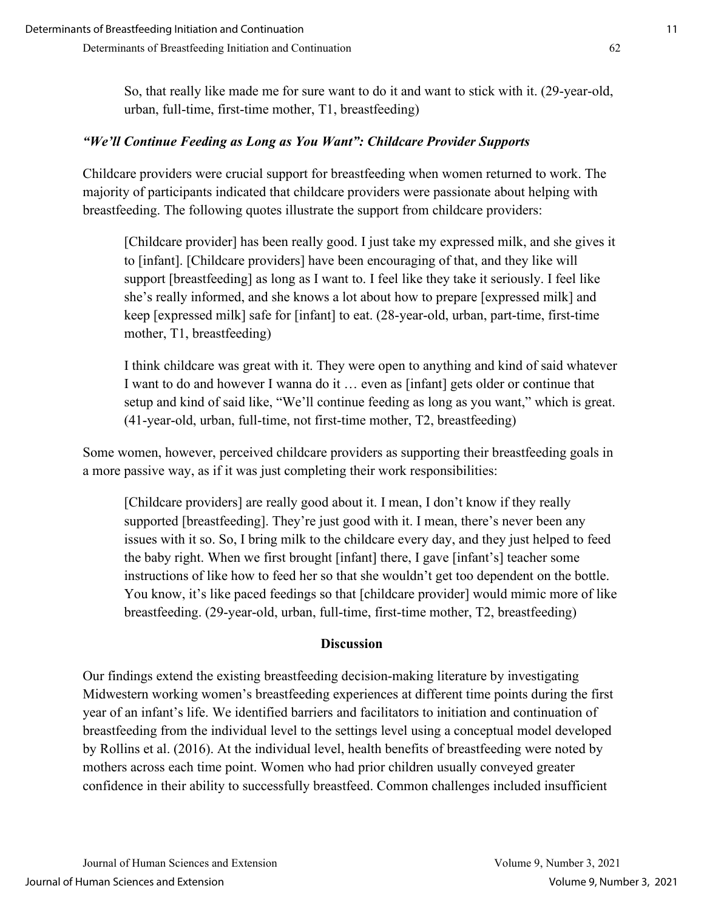So, that really like made me for sure want to do it and want to stick with it. (29-year-old, urban, full-time, first-time mother, T1, breastfeeding)

## *"We'll Continue Feeding as Long as You Want": Childcare Provider Supports*

Childcare providers were crucial support for breastfeeding when women returned to work. The majority of participants indicated that childcare providers were passionate about helping with breastfeeding. The following quotes illustrate the support from childcare providers:

[Childcare provider] has been really good. I just take my expressed milk, and she gives it to [infant]. [Childcare providers] have been encouraging of that, and they like will support [breastfeeding] as long as I want to. I feel like they take it seriously. I feel like she's really informed, and she knows a lot about how to prepare [expressed milk] and keep [expressed milk] safe for [infant] to eat. (28-year-old, urban, part-time, first-time mother, T1, breastfeeding)

I think childcare was great with it. They were open to anything and kind of said whatever I want to do and however I wanna do it … even as [infant] gets older or continue that setup and kind of said like, "We'll continue feeding as long as you want," which is great. (41-year-old, urban, full-time, not first-time mother, T2, breastfeeding)

Some women, however, perceived childcare providers as supporting their breastfeeding goals in a more passive way, as if it was just completing their work responsibilities:

[Childcare providers] are really good about it. I mean, I don't know if they really supported [breastfeeding]. They're just good with it. I mean, there's never been any issues with it so. So, I bring milk to the childcare every day, and they just helped to feed the baby right. When we first brought [infant] there, I gave [infant's] teacher some instructions of like how to feed her so that she wouldn't get too dependent on the bottle. You know, it's like paced feedings so that [childcare provider] would mimic more of like breastfeeding. (29-year-old, urban, full-time, first-time mother, T2, breastfeeding)

## **Discussion**

Our findings extend the existing breastfeeding decision-making literature by investigating Midwestern working women's breastfeeding experiences at different time points during the first year of an infant's life. We identified barriers and facilitators to initiation and continuation of breastfeeding from the individual level to the settings level using a conceptual model developed by Rollins et al. (2016). At the individual level, health benefits of breastfeeding were noted by mothers across each time point. Women who had prior children usually conveyed greater confidence in their ability to successfully breastfeed. Common challenges included insufficient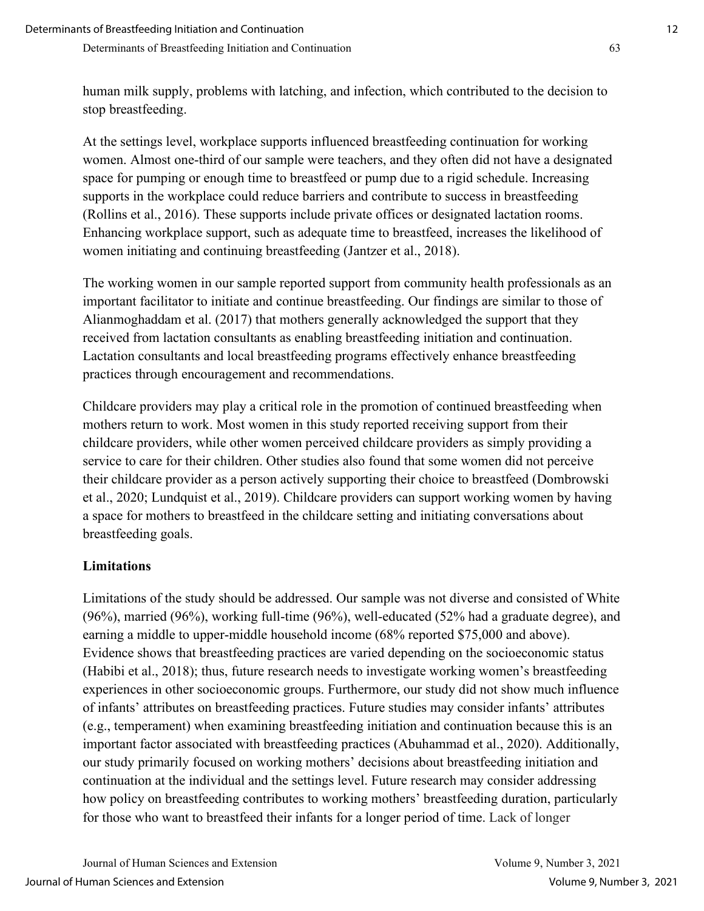human milk supply, problems with latching, and infection, which contributed to the decision to stop breastfeeding.

At the settings level, workplace supports influenced breastfeeding continuation for working women. Almost one-third of our sample were teachers, and they often did not have a designated space for pumping or enough time to breastfeed or pump due to a rigid schedule. Increasing supports in the workplace could reduce barriers and contribute to success in breastfeeding (Rollins et al., 2016). These supports include private offices or designated lactation rooms. Enhancing workplace support, such as adequate time to breastfeed, increases the likelihood of women initiating and continuing breastfeeding (Jantzer et al., 2018).

The working women in our sample reported support from community health professionals as an important facilitator to initiate and continue breastfeeding. Our findings are similar to those of Alianmoghaddam et al. (2017) that mothers generally acknowledged the support that they received from lactation consultants as enabling breastfeeding initiation and continuation. Lactation consultants and local breastfeeding programs effectively enhance breastfeeding practices through encouragement and recommendations.

Childcare providers may play a critical role in the promotion of continued breastfeeding when mothers return to work. Most women in this study reported receiving support from their childcare providers, while other women perceived childcare providers as simply providing a service to care for their children. Other studies also found that some women did not perceive their childcare provider as a person actively supporting their choice to breastfeed (Dombrowski et al., 2020; Lundquist et al., 2019). Childcare providers can support working women by having a space for mothers to breastfeed in the childcare setting and initiating conversations about breastfeeding goals.

## **Limitations**

Limitations of the study should be addressed. Our sample was not diverse and consisted of White (96%), married (96%), working full-time (96%), well-educated (52% had a graduate degree), and earning a middle to upper-middle household income (68% reported \$75,000 and above). Evidence shows that breastfeeding practices are varied depending on the socioeconomic status (Habibi et al., 2018); thus, future research needs to investigate working women's breastfeeding experiences in other socioeconomic groups. Furthermore, our study did not show much influence of infants' attributes on breastfeeding practices. Future studies may consider infants' attributes (e.g., temperament) when examining breastfeeding initiation and continuation because this is an important factor associated with breastfeeding practices (Abuhammad et al., 2020). Additionally, our study primarily focused on working mothers' decisions about breastfeeding initiation and continuation at the individual and the settings level. Future research may consider addressing how policy on breastfeeding contributes to working mothers' breastfeeding duration, particularly for those who want to breastfeed their infants for a longer period of time. Lack of longer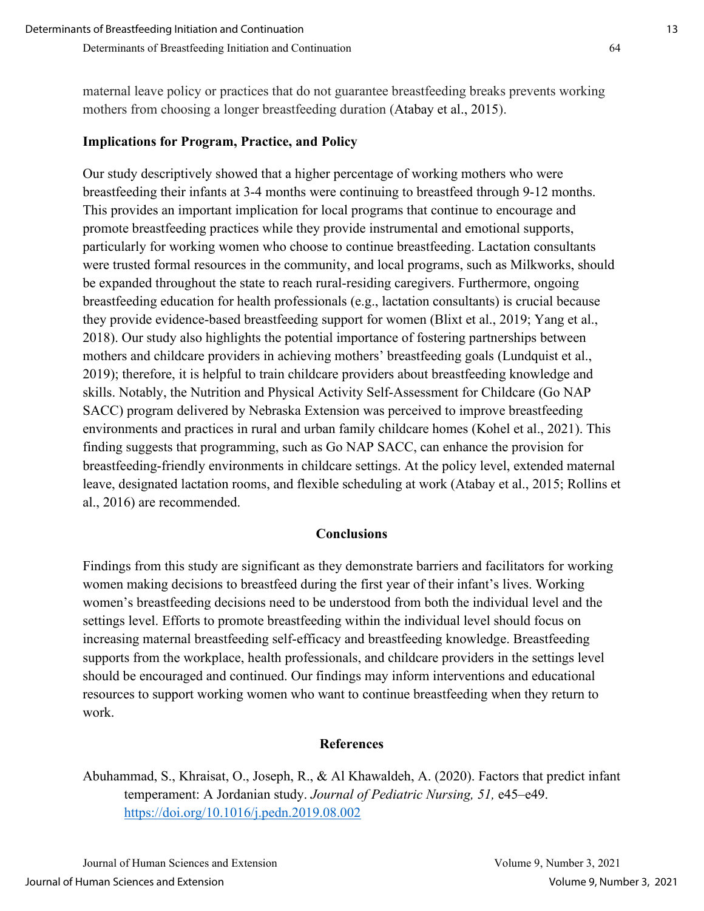maternal leave policy or practices that do not guarantee breastfeeding breaks prevents working mothers from choosing a longer breastfeeding duration (Atabay et al., 2015).

#### **Implications for Program, Practice, and Policy**

Our study descriptively showed that a higher percentage of working mothers who were breastfeeding their infants at 3-4 months were continuing to breastfeed through 9-12 months. This provides an important implication for local programs that continue to encourage and promote breastfeeding practices while they provide instrumental and emotional supports, particularly for working women who choose to continue breastfeeding. Lactation consultants were trusted formal resources in the community, and local programs, such as Milkworks, should be expanded throughout the state to reach rural-residing caregivers. Furthermore, ongoing breastfeeding education for health professionals (e.g., lactation consultants) is crucial because they provide evidence-based breastfeeding support for women (Blixt et al., 2019; Yang et al., 2018). Our study also highlights the potential importance of fostering partnerships between mothers and childcare providers in achieving mothers' breastfeeding goals (Lundquist et al., 2019); therefore, it is helpful to train childcare providers about breastfeeding knowledge and skills. Notably, the Nutrition and Physical Activity Self-Assessment for Childcare (Go NAP SACC) program delivered by Nebraska Extension was perceived to improve breastfeeding environments and practices in rural and urban family childcare homes (Kohel et al., 2021). This finding suggests that programming, such as Go NAP SACC, can enhance the provision for breastfeeding-friendly environments in childcare settings. At the policy level, extended maternal leave, designated lactation rooms, and flexible scheduling at work (Atabay et al., 2015; Rollins et al., 2016) are recommended.

#### **Conclusions**

Findings from this study are significant as they demonstrate barriers and facilitators for working women making decisions to breastfeed during the first year of their infant's lives. Working women's breastfeeding decisions need to be understood from both the individual level and the settings level. Efforts to promote breastfeeding within the individual level should focus on increasing maternal breastfeeding self-efficacy and breastfeeding knowledge. Breastfeeding supports from the workplace, health professionals, and childcare providers in the settings level should be encouraged and continued. Our findings may inform interventions and educational resources to support working women who want to continue breastfeeding when they return to work.

#### **References**

Abuhammad, S., Khraisat, O., Joseph, R., & Al Khawaldeh, A. (2020). Factors that predict infant temperament: A Jordanian study. *Journal of Pediatric Nursing, 51,* e45–e49. <https://doi.org/10.1016/j.pedn.2019.08.002>

Journal of Human Sciences and Extension Volume 9, Number 3, 2021 Journal of Human Sciences and Extension Volume 9, Number 3, 2021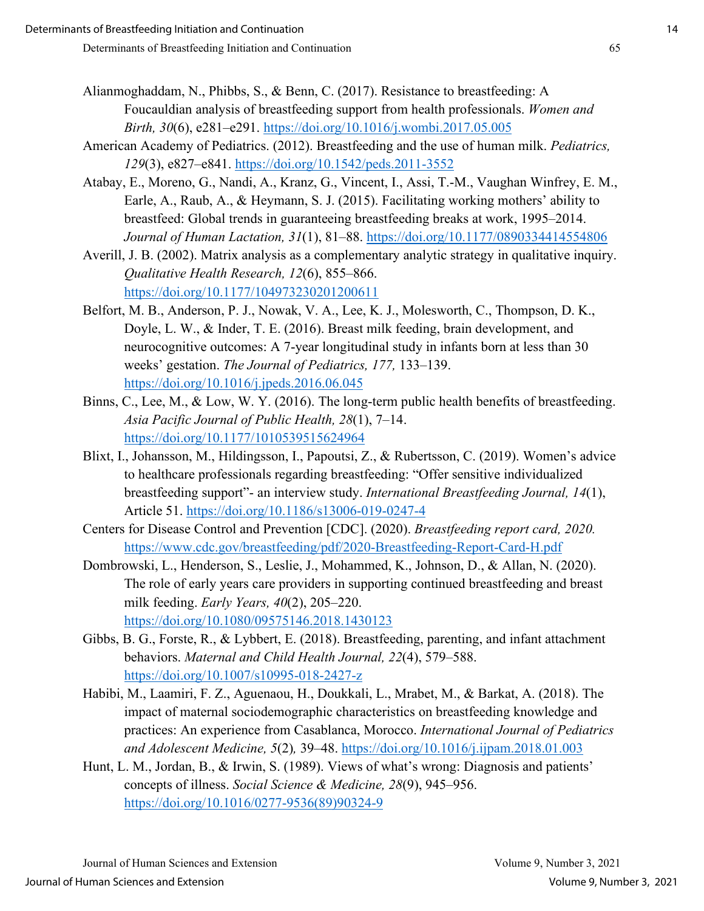- Alianmoghaddam, N., Phibbs, S., & Benn, C. (2017). Resistance to breastfeeding: A Foucauldian analysis of breastfeeding support from health professionals. *Women and Birth, 30*(6), e281–e291.<https://doi.org/10.1016/j.wombi.2017.05.005>
- American Academy of Pediatrics. (2012). Breastfeeding and the use of human milk. *Pediatrics, 129*(3), e827–e841.<https://doi.org/10.1542/peds.2011-3552>
- Atabay, E., Moreno, G., Nandi, A., Kranz, G., Vincent, I., Assi, T.-M., Vaughan Winfrey, E. M., Earle, A., Raub, A., & Heymann, S. J. (2015). Facilitating working mothers' ability to breastfeed: Global trends in guaranteeing breastfeeding breaks at work, 1995–2014. *Journal of Human Lactation, 31*(1), 81–88.<https://doi.org/10.1177/0890334414554806>
- Averill, J. B. (2002). Matrix analysis as a complementary analytic strategy in qualitative inquiry. *Qualitative Health Research, 12*(6), 855–866. <https://doi.org/10.1177/104973230201200611>
- Belfort, M. B., Anderson, P. J., Nowak, V. A., Lee, K. J., Molesworth, C., Thompson, D. K., Doyle, L. W., & Inder, T. E. (2016). Breast milk feeding, brain development, and neurocognitive outcomes: A 7-year longitudinal study in infants born at less than 30 weeks' gestation. *The Journal of Pediatrics, 177,* 133–139. <https://doi.org/10.1016/j.jpeds.2016.06.045>
- Binns, C., Lee, M., & Low, W. Y. (2016). The long-term public health benefits of breastfeeding. *Asia Pacific Journal of Public Health, 28*(1), 7–14. <https://doi.org/10.1177/1010539515624964>
- Blixt, I., Johansson, M., Hildingsson, I., Papoutsi, Z., & Rubertsson, C. (2019). Women's advice to healthcare professionals regarding breastfeeding: "Offer sensitive individualized breastfeeding support"- an interview study. *International Breastfeeding Journal, 14*(1), Article 51.<https://doi.org/10.1186/s13006-019-0247-4>
- Centers for Disease Control and Prevention [CDC]. (2020). *Breastfeeding report card, 2020.* <https://www.cdc.gov/breastfeeding/pdf/2020-Breastfeeding-Report-Card-H.pdf>
- Dombrowski, L., Henderson, S., Leslie, J., Mohammed, K., Johnson, D., & Allan, N. (2020). The role of early years care providers in supporting continued breastfeeding and breast milk feeding. *Early Years, 40*(2), 205–220. <https://doi.org/10.1080/09575146.2018.1430123>
- Gibbs, B. G., Forste, R., & Lybbert, E. (2018). Breastfeeding, parenting, and infant attachment behaviors. *Maternal and Child Health Journal, 22*(4), 579–588. <https://doi.org/10.1007/s10995-018-2427-z>
- Habibi, M., Laamiri, F. Z., Aguenaou, H., Doukkali, L., Mrabet, M., & Barkat, A. (2018). The impact of maternal sociodemographic characteristics on breastfeeding knowledge and practices: An experience from Casablanca, Morocco. *International Journal of Pediatrics and Adolescent Medicine, 5*(2)*,* 39–48.<https://doi.org/10.1016/j.ijpam.2018.01.003>
- Hunt, L. M., Jordan, B., & Irwin, S. (1989). Views of what's wrong: Diagnosis and patients' concepts of illness. *Social Science & Medicine, 28*(9), 945–956. [https://doi.org/10.1016/0277-9536\(89\)90324-9](https://doi.org/10.1016/0277-9536(89)90324-9)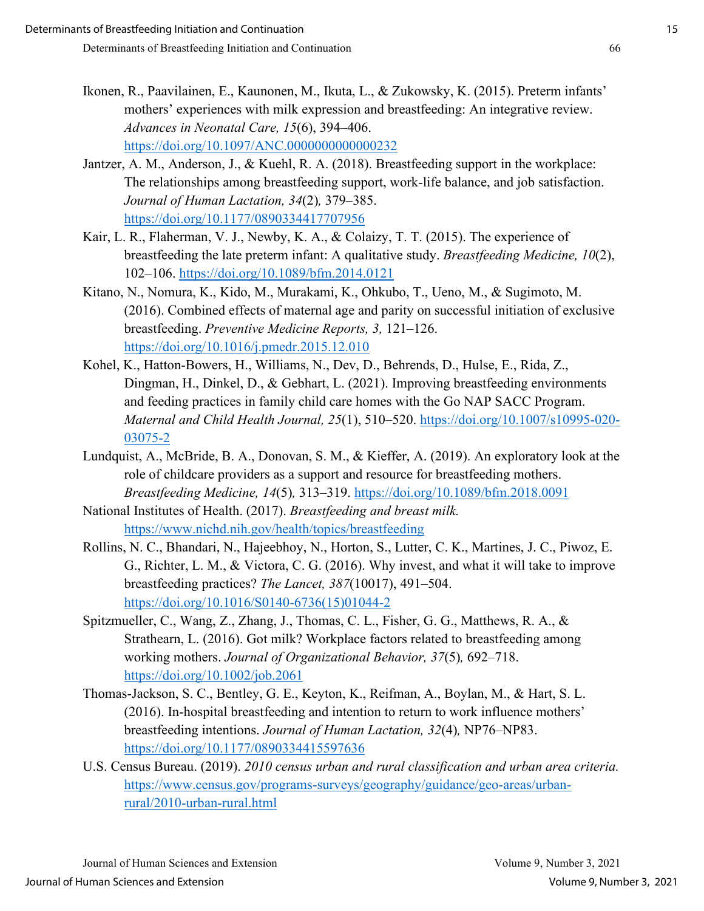- Ikonen, R., Paavilainen, E., Kaunonen, M., Ikuta, L., & Zukowsky, K. (2015). Preterm infants' mothers' experiences with milk expression and breastfeeding: An integrative review. *Advances in Neonatal Care, 15*(6), 394–406. <https://doi.org/10.1097/ANC.0000000000000232>
- Jantzer, A. M., Anderson, J., & Kuehl, R. A. (2018). Breastfeeding support in the workplace: The relationships among breastfeeding support, work-life balance, and job satisfaction. *Journal of Human Lactation, 34*(2)*,* 379–385. <https://doi.org/10.1177/0890334417707956>
- Kair, L. R., Flaherman, V. J., Newby, K. A., & Colaizy, T. T. (2015). The experience of breastfeeding the late preterm infant: A qualitative study. *Breastfeeding Medicine, 10*(2), 102–106.<https://doi.org/10.1089/bfm.2014.0121>
- Kitano, N., Nomura, K., Kido, M., Murakami, K., Ohkubo, T., Ueno, M., & Sugimoto, M. (2016). Combined effects of maternal age and parity on successful initiation of exclusive breastfeeding. *Preventive Medicine Reports, 3,* 121–126. <https://doi.org/10.1016/j.pmedr.2015.12.010>
- Kohel, K., Hatton-Bowers, H., Williams, N., Dev, D., Behrends, D., Hulse, E., Rida, Z., Dingman, H., Dinkel, D., & Gebhart, L. (2021). Improving breastfeeding environments and feeding practices in family child care homes with the Go NAP SACC Program. *Maternal and Child Health Journal, 25*(1), 510–520. [https://doi.org/10.1007/s10995-020-](https://doi.org/10.1007/s10995-020-03075-2) [03075-2](https://doi.org/10.1007/s10995-020-03075-2)
- Lundquist, A., McBride, B. A., Donovan, S. M., & Kieffer, A. (2019). An exploratory look at the role of childcare providers as a support and resource for breastfeeding mothers. *Breastfeeding Medicine, 14*(5)*,* 313–319.<https://doi.org/10.1089/bfm.2018.0091>
- National Institutes of Health. (2017). *Breastfeeding and breast milk.* <https://www.nichd.nih.gov/health/topics/breastfeeding>
- Rollins, N. C., Bhandari, N., Hajeebhoy, N., Horton, S., Lutter, C. K., Martines, J. C., Piwoz, E. G., Richter, L. M., & Victora, C. G. (2016). Why invest, and what it will take to improve breastfeeding practices? *The Lancet, 387*(10017), 491–504. [https://doi.org/10.1016/S0140-6736\(15\)01044-2](https://doi.org/10.1016/S0140-6736(15)01044-2)
- Spitzmueller, C., Wang, Z., Zhang, J., Thomas, C. L., Fisher, G. G., Matthews, R. A., & Strathearn, L. (2016). Got milk? Workplace factors related to breastfeeding among working mothers. *Journal of Organizational Behavior, 37*(5)*,* 692–718. <https://doi.org/10.1002/job.2061>
- Thomas-Jackson, S. C., Bentley, G. E., Keyton, K., Reifman, A., Boylan, M., & Hart, S. L. (2016). In-hospital breastfeeding and intention to return to work influence mothers' breastfeeding intentions. *Journal of Human Lactation, 32*(4)*,* NP76–NP83. <https://doi.org/10.1177/0890334415597636>
- U.S. Census Bureau. (2019). *2010 census urban and rural classification and urban area criteria.* [https://www.census.gov/programs-surveys/geography/guidance/geo-areas/urban](https://www.census.gov/programs-surveys/geography/guidance/geo-areas/urban-rural/2010-urban-rural.html)[rural/2010-urban-rural.html](https://www.census.gov/programs-surveys/geography/guidance/geo-areas/urban-rural/2010-urban-rural.html)